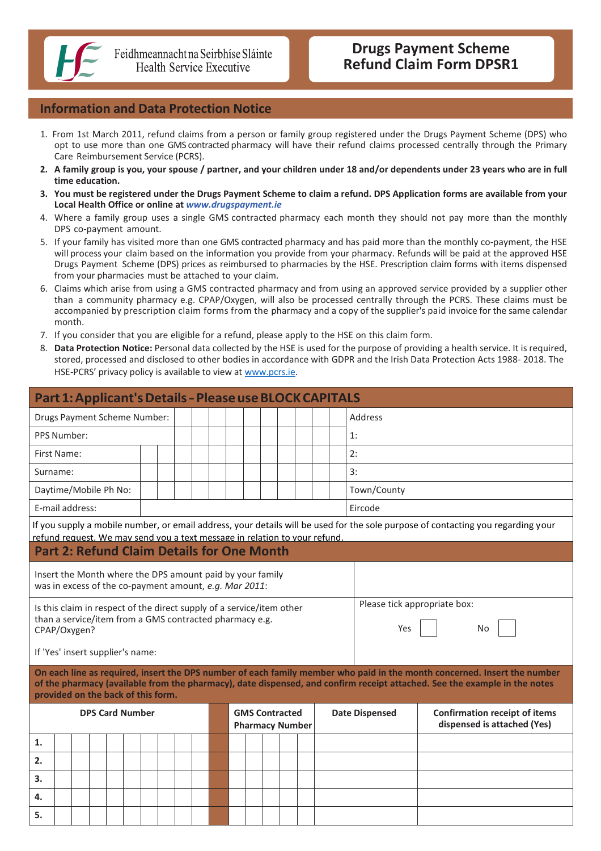

# **Information and Data Protection Notice**

- 1. From 1st March 2011, refund claims from a person or family group registered under the Drugs Payment Scheme (DPS) who opt to use more than one GMS contracted pharmacy will have their refund claims processed centrally through the Primary Care Reimbursement Service (PCRS).
- 2. A family group is you, your spouse / partner, and your children under 18 and/or dependents under 23 years who are in full **time education.**
- 3. You must be registered under the Drugs Payment Scheme to claim a refund. DPS Application forms are available from your **Local Health Office or online at** *[www.drugspayment.ie](http://www.drugspayment.ie/)*
- 4. Where a family group uses a single GMS contracted pharmacy each month they should not pay more than the monthly DPS co-payment amount.
- 5. If your family has visited more than one GMS contracted pharmacy and has paid more than the monthly co-payment, the HSE will process your claim based on the information you provide from your pharmacy. Refunds will be paid at the approved HSE Drugs Payment Scheme (DPS) prices as reimbursed to pharmacies by the HSE. Prescription claim forms with items dispensed from your pharmacies must be attached to your claim.
- 6. Claims which arise from using a GMS contracted pharmacy and from using an approved service provided by a supplier other than a community pharmacy e.g. CPAP/Oxygen, will also be processed centrally through the PCRS. These claims must be accompanied by prescription claim forms from the pharmacy and a copy of the supplier's paid invoice for the same calendar month.
- 7. If you consider that you are eligible for a refund, please apply to the HSE on this claim form.
- 8. **Data Protection Notice:** Personal data collected by the HSE is used for the purpose of providing a health service. It is required, stored, processed and disclosed to other bodies in accordance with GDPR and the Irish Data Protection Acts 1988- 2018. The HSE-PCRS' privacy policy is available to view at [www.pcrs.ie.](http://www.pcrs.ie/)

| Part 1: Applicant's Details - Please use BLOCK CAPITALS                                                                                                                                                                                                                                     |                                                                                                                                 |  |  |  |  |  |  |  |  |             |  |  |  |  |                                                                                              |  |    |  |
|---------------------------------------------------------------------------------------------------------------------------------------------------------------------------------------------------------------------------------------------------------------------------------------------|---------------------------------------------------------------------------------------------------------------------------------|--|--|--|--|--|--|--|--|-------------|--|--|--|--|----------------------------------------------------------------------------------------------|--|----|--|
|                                                                                                                                                                                                                                                                                             | Address<br>Drugs Payment Scheme Number:                                                                                         |  |  |  |  |  |  |  |  |             |  |  |  |  |                                                                                              |  |    |  |
| PPS Number:                                                                                                                                                                                                                                                                                 |                                                                                                                                 |  |  |  |  |  |  |  |  |             |  |  |  |  |                                                                                              |  | 1: |  |
| First Name:                                                                                                                                                                                                                                                                                 |                                                                                                                                 |  |  |  |  |  |  |  |  |             |  |  |  |  |                                                                                              |  | 2: |  |
| Surname:                                                                                                                                                                                                                                                                                    |                                                                                                                                 |  |  |  |  |  |  |  |  |             |  |  |  |  |                                                                                              |  | 3: |  |
| Daytime/Mobile Ph No:                                                                                                                                                                                                                                                                       |                                                                                                                                 |  |  |  |  |  |  |  |  | Town/County |  |  |  |  |                                                                                              |  |    |  |
| E-mail address:<br>Eircode                                                                                                                                                                                                                                                                  |                                                                                                                                 |  |  |  |  |  |  |  |  |             |  |  |  |  |                                                                                              |  |    |  |
| If you supply a mobile number, or email address, your details will be used for the sole purpose of contacting you regarding your                                                                                                                                                            |                                                                                                                                 |  |  |  |  |  |  |  |  |             |  |  |  |  |                                                                                              |  |    |  |
|                                                                                                                                                                                                                                                                                             | refund request. We may send you a text message in relation to your refund.<br><b>Part 2: Refund Claim Details for One Month</b> |  |  |  |  |  |  |  |  |             |  |  |  |  |                                                                                              |  |    |  |
| Insert the Month where the DPS amount paid by your family<br>was in excess of the co-payment amount, e.g. Mar 2011:                                                                                                                                                                         |                                                                                                                                 |  |  |  |  |  |  |  |  |             |  |  |  |  |                                                                                              |  |    |  |
| Please tick appropriate box:<br>Is this claim in respect of the direct supply of a service/item other<br>than a service/item from a GMS contracted pharmacy e.g.<br>Yes<br>No<br>CPAP/Oxygen?                                                                                               |                                                                                                                                 |  |  |  |  |  |  |  |  |             |  |  |  |  |                                                                                              |  |    |  |
| If 'Yes' insert supplier's name:                                                                                                                                                                                                                                                            |                                                                                                                                 |  |  |  |  |  |  |  |  |             |  |  |  |  |                                                                                              |  |    |  |
| On each line as required, insert the DPS number of each family member who paid in the month concerned. Insert the number<br>of the pharmacy (available from the pharmacy), date dispensed, and confirm receipt attached. See the example in the notes<br>provided on the back of this form. |                                                                                                                                 |  |  |  |  |  |  |  |  |             |  |  |  |  |                                                                                              |  |    |  |
|                                                                                                                                                                                                                                                                                             | <b>DPS Card Number</b><br><b>GMS Contracted</b><br><b>Pharmacy Number</b>                                                       |  |  |  |  |  |  |  |  |             |  |  |  |  | <b>Confirmation receipt of items</b><br><b>Date Dispensed</b><br>dispensed is attached (Yes) |  |    |  |
| 1.                                                                                                                                                                                                                                                                                          |                                                                                                                                 |  |  |  |  |  |  |  |  |             |  |  |  |  |                                                                                              |  |    |  |
| 2.                                                                                                                                                                                                                                                                                          |                                                                                                                                 |  |  |  |  |  |  |  |  |             |  |  |  |  |                                                                                              |  |    |  |
| 3.                                                                                                                                                                                                                                                                                          |                                                                                                                                 |  |  |  |  |  |  |  |  |             |  |  |  |  |                                                                                              |  |    |  |
| 4.                                                                                                                                                                                                                                                                                          |                                                                                                                                 |  |  |  |  |  |  |  |  |             |  |  |  |  |                                                                                              |  |    |  |
| 5.                                                                                                                                                                                                                                                                                          |                                                                                                                                 |  |  |  |  |  |  |  |  |             |  |  |  |  |                                                                                              |  |    |  |